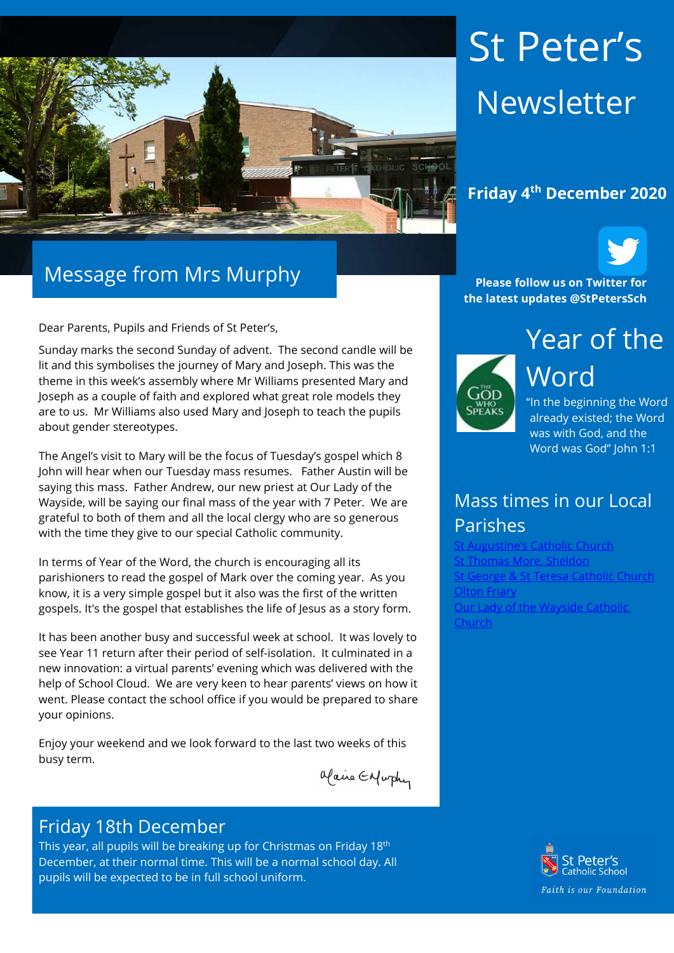

# Message from Mrs Murphy

Dear Parents, Pupils and Friends of St Peter's,

Sunday marks the second Sunday of advent. The second candle will be lit and this symbolises the journey of Mary and Joseph. This was the theme in this week's assembly where Mr Williams presented Mary and Joseph as a couple of faith and explored what great role models they are to us. Mr Williams also used Mary and Joseph to teach the pupils about gender stereotypes.

The Angel's visit to Mary will be the focus of Tuesday's gospel which 8 John will hear when our Tuesday mass resumes. Father Austin will be saying this mass. Father Andrew, our new priest at Our Lady of the Wayside, will be saying our final mass of the year with 7 Peter. We are grateful to both of them and all the local clergy who are so generous with the time they give to our special Catholic community.

In terms of Year of the Word, the church is encouraging all its parishioners to read the gospel of Mark over the coming year. As you know, it is a very simple gospel but it also was the first of the written gospels. It's the gospel that establishes the life of Jesus as a story form.

It has been another busy and successful week at school. It was lovely to see Year 11 return after their period of self-isolation. It culminated in a new innovation: a virtual parents' evening which was delivered with the help of School Cloud. We are very keen to hear parents' views on how it went. Please contact the school office if you would be prepared to share your opinions.

Enjoy your weekend and we look forward to the last two weeks of this busy term.

Maire Enfurther

#### Friday 18th December

This year, all pupils will be breaking up for Christmas on Friday 18<sup>th</sup> December, at their normal time. This will be a normal school day. All pupils will be expected to be in full school uniform.

# St Peter's Newsletter

#### Friday 4th December 2020



Please follow us on Twitter for the latest updates @StPetersSch



"In the beginning the Word already existed; the Word was with God, and the Word was God" John 1:1

## Mass times in our Local Parishes

Catholic Church St Thomas More, Sheldon St George & St Teresa Catholic Church Olton Friary Our Lady of the Wayside Catholic Church